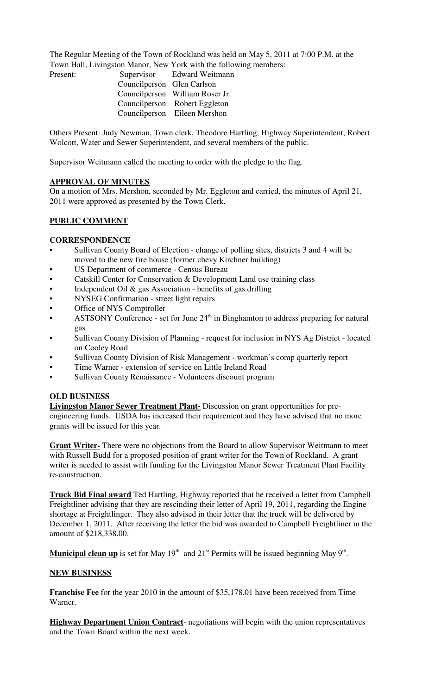The Regular Meeting of the Town of Rockland was held on May 5, 2011 at 7:00 P.M. at the Town Hall, Livingston Manor, New York with the following members:

| Present: |                            | Supervisor Edward Weitmann      |
|----------|----------------------------|---------------------------------|
|          | Councilperson Glen Carlson |                                 |
|          |                            | Councilperson William Roser Jr. |
|          |                            | Councilperson Robert Eggleton   |
|          |                            | Councilperson Eileen Mershon    |

Others Present: Judy Newman, Town clerk, Theodore Hartling, Highway Superintendent, Robert Wolcott, Water and Sewer Superintendent, and several members of the public.

Supervisor Weitmann called the meeting to order with the pledge to the flag.

### **APPROVAL OF MINUTES**

On a motion of Mrs. Mershon, seconded by Mr. Eggleton and carried, the minutes of April 21, 2011 were approved as presented by the Town Clerk.

### **PUBLIC COMMENT**

### **CORRESPONDENCE**

- Sullivan County Board of Election change of polling sites, districts 3 and 4 will be moved to the new fire house (former chevy Kirchner building)
- US Department of commerce Census Bureau
- Catskill Center for Conservation & Development Land use training class
- Independent Oil & gas Association benefits of gas drilling
- NYSEG Confirmation street light repairs
- Office of NYS Comptroller
- ASTSONY Conference set for June  $24<sup>th</sup>$  in Binghamton to address preparing for natural gas
- Sullivan County Division of Planning request for inclusion in NYS Ag District located on Cooley Road
- Sullivan County Division of Risk Management workman's comp quarterly report
- Time Warner extension of service on Little Ireland Road
- Sullivan County Renaissance Volunteers discount program

### **OLD BUSINESS**

**Livingston Manor Sewer Treatment Plant-** Discussion on grant opportunities for preengineering funds. USDA has increased their requirement and they have advised that no more grants will be issued for this year.

**Grant Writer-** There were no objections from the Board to allow Supervisor Weitmann to meet with Russell Budd for a proposed position of grant writer for the Town of Rockland. A grant writer is needed to assist with funding for the Livingston Manor Sewer Treatment Plant Facility re-construction.

**Truck Bid Final award** Ted Hartling, Highway reported that he received a letter from Campbell Freightliner advising that they are rescinding their letter of April 19, 2011, regarding the Engine shortage at Freightlinger. They also advised in their letter that the truck will be delivered by December 1, 2011. After receiving the letter the bid was awarded to Campbell Freightliner in the amount of \$218,338.00.

Municipal clean up is set for May 19<sup>th</sup> and 21<sup>st</sup> Permits will be issued beginning May 9<sup>th</sup>.

### **NEW BUSINESS**

**Franchise Fee** for the year 2010 in the amount of \$35,178.01 have been received from Time Warner.

**Highway Department Union Contract**- negotiations will begin with the union representatives and the Town Board within the next week.